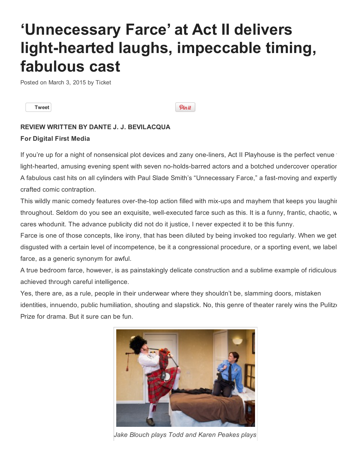## 'Unnecessary Farce' at Act II delivers light-hearted laughs, impeccable timing, fabulous cast

Posted on [March](http://www.tickettoentertainment.com/blog/2015/03/03/unnecessary-farce-at-act-ii-delivers-light-hearted-laughs-impeccable-timing-fabulous-cast/) 3, 2015 by [Ticket](http://www.tickettoentertainment.com/blog/author/astettler/)

[Tweet](https://twitter.com/share)

Pinit

## REVIEW WRITTEN BY DANTE J. J. BEVILACQUA

## For Digital First Media

If you're up for a night of nonsensical plot devices and zany one-liners, Act II Playhouse is the perfect venue light-hearted, amusing evening spent with seven no-holds-barred actors and a botched undercover operatior A fabulous cast hits on all cylinders with Paul Slade Smith's "Unnecessary Farce," a fast-moving and expertly crafted comic contraption.

This wildly manic comedy features over-the-top action filled with mix-ups and mayhem that keeps you laughing throughout. Seldom do you see an exquisite, well-executed farce such as this. It is a funny, frantic, chaotic, w cares whodunit. The advance publicity did not do it justice, I never expected it to be this funny.

Farce is one of those concepts, like irony, that has been diluted by being invoked too regularly. When we get disgusted with a certain level of incompetence, be it a congressional procedure, or a sporting event, we label farce, as a generic synonym for awful.

A true bedroom farce, however, is as painstakingly delicate construction and a sublime example of ridiculous achieved through careful intelligence.

Yes, there are, as a rule, people in their underwear where they shouldn't be, slamming doors, mistaken identities, innuendo, public humiliation, shouting and slapstick. No, this genre of theater rarely wins the Pulitzer Prize for drama. But it sure can be fun.



*Jake Blouch plays Todd and Karen Peakes plays*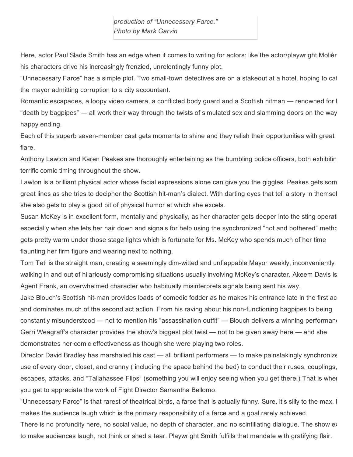Here, actor Paul Slade Smith has an edge when it comes to writing for actors: like the actor/playwright Molièr his characters drive his increasingly frenzied, unrelentingly funny plot.

"Unnecessary Farce" has a simple plot. Two small-town detectives are on a stakeout at a hotel, hoping to cal the mayor admitting corruption to a city accountant.

Romantic escapades, a loopy video camera, a conflicted body guard and a Scottish hitman — renowned for l "death by bagpipes" — all work their way through the twists of simulated sex and slamming doors on the way happy ending.

Each of this superb seven-member cast gets moments to shine and they relish their opportunities with great flare.

Anthony Lawton and Karen Peakes are thoroughly entertaining as the bumbling police officers, both exhibiting a terrific comic timing throughout the show.

Lawton is a brilliant physical actor whose facial expressions alone can give you the giggles. Peakes gets som great lines as she tries to decipher the Scottish hit-man's dialect. With darting eyes that tell a story in themsel she also gets to play a good bit of physical humor at which she excels.

Susan McKey is in excellent form, mentally and physically, as her character gets deeper into the sting operation, especially when she lets her hair down and signals for help using the synchronized "hot and bothered" method. gets pretty warm under those stage lights which is fortunate for Ms. McKey who spends much of her time flaunting her firm figure and wearing next to nothing.

Tom Teti is the straight man, creating a seemingly dim-witted and unflappable Mayor weekly, inconveniently walking in and out of hilariously compromising situations usually involving McKey's character. Akeem Davis is Agent Frank, an overwhelmed character who habitually misinterprets signals being sent his way.

Jake Blouch's Scottish hit-man provides loads of comedic fodder as he makes his entrance late in the first ac and dominates much of the second act action. From his raving about his non-functioning bagpipes to being constantly misunderstood — not to mention his "assassination outfit" — Blouch delivers a winning performane Gerri Weagraff's character provides the show's biggest plot twist — not to be given away here — and she demonstrates her comic effectiveness as though she were playing two roles.

Director David Bradley has marshaled his cast — all brilliant performers — to make painstakingly synchronize use of every door, closet, and cranny ( including the space behind the bed) to conduct their ruses, couplings, escapes, attacks, and "Tallahassee Flips" (something you will enjoy seeing when you get there.) That is when you get to appreciate the work of Fight Director Samantha Bellomo.

"Unnecessary Farce" is that rarest of theatrical birds, a farce that is actually funny. Sure, it's silly to the max, I makes the audience laugh which is the primary responsibility of a farce and a goal rarely achieved.

There is no profundity here, no social value, no depth of character, and no scintillating dialogue. The show exay to make audiences laugh, not think or shed a tear. Playwright Smith fulfills that mandate with gratifying flair.